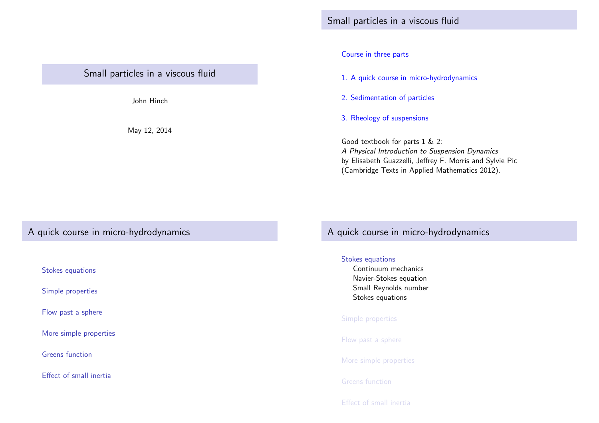Small particles in a viscous fluid

John Hinch

May 12, 2014

### Course in three parts

- 1. A quick course in micro-hydrodynamics
- 2. Sedimentation of particles
- 3. Rheology of suspensions

Good textbook for parts 1 & 2: A Physical Introduction to Suspension Dynamics by Elisabeth Guazzelli, Jeffrey F. Morris and Sylvie Pic (Cambridge Texts in Applied Mathematics 2012).

# A quick course in micro-hydrodynamics

[Stokes equ](#page-0-0)[ations](#page-1-0)

[Simple properties](#page-1-0)

[Flow past a sp](#page-1-0)here

[More simpl](#page-2-0)e properties

[Greens funct](#page-2-0)ion

<span id="page-0-0"></span>[Effect of small in](#page-5-0)ertia

# A quick course in micro-hydrodynamics

## Stokes equations

Continuum mechanics Navier-Stokes equation Small Reynolds number Stokes equations

### Simple properties

Flow past a sphere

More simple properties

Greens function

Effect of small inertia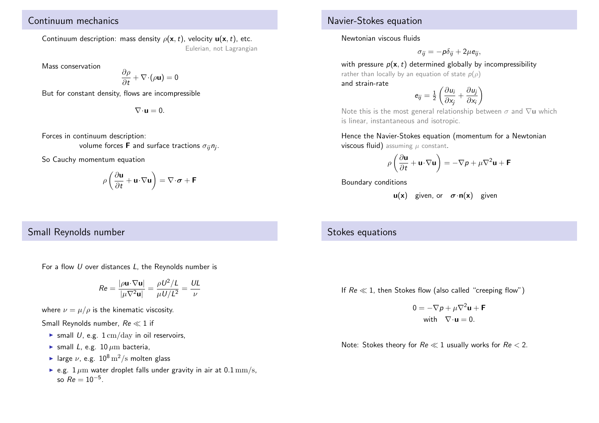# Continuum mechanics

Continuum description: mass density  $\rho(\mathbf{x},t)$ , velocity  $\mathbf{u}(\mathbf{x},t)$ , etc. Eulerian, not Lagrangian

Mass conservation

$$
\frac{\partial \rho}{\partial t} + \nabla \cdot (\rho \mathbf{u}) = 0
$$

But for constant density, flows are incompressible

 $\nabla \cdot \mathbf{u} = 0$ .

Forces in continuum description:

volume forces **F** and surface tractions  $\sigma_{ij}$ *n<sub>j</sub>.* 

So Cauchy momentum equation

$$
\rho\left(\frac{\partial \mathbf{u}}{\partial t} + \mathbf{u} \cdot \nabla \mathbf{u}\right) = \nabla \cdot \boldsymbol{\sigma} + \mathbf{F}
$$

# Small Reynolds number

For a flow  $U$  over distances  $L$ , the Reynolds number is

$$
Re = \frac{|\rho \mathbf{u} \cdot \nabla \mathbf{u}|}{|\mu \nabla^2 \mathbf{u}|} = \frac{\rho U^2 / L}{\mu U / L^2} = \frac{UL}{\nu}
$$

where  $\nu = \mu/\rho$  is the kinematic viscosity.

Small Reynolds number,  $Re \ll 1$  if

- $\triangleright$  small U, e.g.  $1 \text{ cm/day}$  in oil reservoirs,
- $\triangleright$  small L, e.g. 10  $\mu$ m bacteria,
- In large  $\nu$ , e.g.  $10^8 \text{ m}^2/\text{s}$  molten glass
- <span id="page-1-0"></span>e.g.  $1 \mu m$  water droplet falls under gravity in air at  $0.1 \text{ mm/s}$ , so  $Re = 10^{-5}$ .

## Navier-Stokes equation

Newtonian viscous fluids

$$
\sigma_{ij}=-p\delta_{ij}+2\mu e_{ij},
$$

with pressure  $p(x, t)$  determined globally by incompressibility

rather than locally by an equation of state  $p(\rho)$ and strain-rate

$$
e_{ij} = \frac{1}{2} \left( \frac{\partial u_i}{\partial x_j} + \frac{\partial u_j}{\partial x_i} \right)
$$

Note this is the most general relationship between  $\sigma$  and  $\nabla$ **u** which is linear, instantaneous and isotropic.

Hence the Navier-Stokes equation (momentum for a Newtonian viscous fluid) assuming  $\mu$  constant.

$$
\rho \left( \frac{\partial \mathbf{u}}{\partial t} + \mathbf{u} \cdot \nabla \mathbf{u} \right) = -\nabla p + \mu \nabla^2 \mathbf{u} + \mathbf{F}
$$

Boundary conditions

 $u(x)$  given, or  $\sigma \cdot n(x)$  given

## Stokes equations

If  $Re \ll 1$ , then Stokes flow (also called "creeping flow")

$$
0 = -\nabla p + \mu \nabla^2 \mathbf{u} + \mathbf{F}
$$
  
with 
$$
\nabla \cdot \mathbf{u} = 0.
$$

Note: Stokes theory for  $Re \ll 1$  usually works for  $Re < 2$ .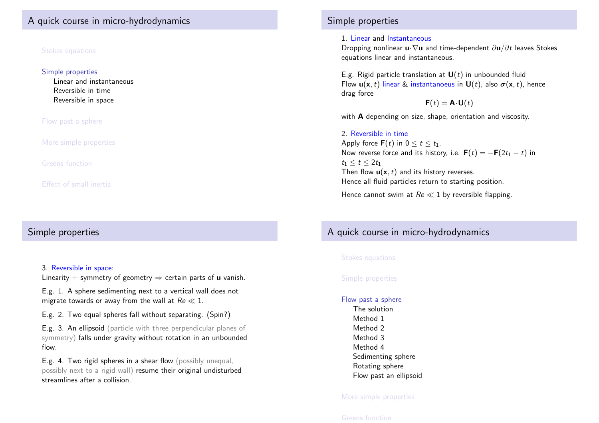# A quick course in micro-hydrodynamics

### Stokes equations

#### Simple properties

Linear and instantaneous Reversible in time Reversible in space

Flow past a sphere

More simple properties

Greens function

Effect of small inertia

## Simple properties

### 3. [Reversib](#page-0-0)le in space:

Linearity + symmetry of geometry  $\Rightarrow$  certain parts of **u** vanish.

[E.g. 1. A s](#page-2-0)phere sedimenting next to a vertical wall does not [migrate towards or awa](#page-2-0)y from the wall at  $Re \ll 1$ .

[E.g. 2. T](#page-3-0)[wo equ](#page-2-0)al spheres fall without separating. (Spin?)

[E.g. 3.](#page-3-0) An ellipsoid (particle with three perpendicular planes of [symme](#page-4-0)[try\)](#page-2-0) falls under gravity without rotation in an unbounded [flow.](#page-4-0)

<span id="page-2-0"></span>[E.g. 4. Two rigid](#page-5-0) spheres in a shear flow (possibly unequal, [possibly next to a](#page-4-0) rigid wall) resume their original undisturbed [streamlines after a](#page-5-0) collision.

## Simple properties

### 1. Linear and Instantaneous

Dropping nonlinear **u**·∇u and time-dependent  $\partial$ **u**/∂t leaves Stokes equations linear and instantaneous.

E.g. Rigid particle translation at  $U(t)$  in unbounded fluid Flow  $\mathbf{u}(\mathbf{x},t)$  linear & instantanoeus in  $\mathbf{U}(t)$ , also  $\sigma(\mathbf{x},t)$ , hence drag force

 $\mathbf{F}(t) = \mathbf{A} \cdot \mathbf{U}(t)$ 

with **A** depending on size, shape, orientation and viscosity.

### 2. Reversible in time Apply force  $F(t)$  in  $0 \le t \le t_1$ . Now reverse force and its history, i.e.  $F(t) = -F(2t_1 - t)$  in  $t_1 < t < 2t_1$ Then flow  $\mathbf{u}(\mathbf{x},t)$  and its history reverses. Hence all fluid particles return to starting position.

Hence cannot swim at  $Re \ll 1$  by reversible flapping.

# A quick course in micro-hydrodynamics

### Stokes equations

### Simple properties

### Flow past a sphere The solution

- Method 1 Method 2 Method 3
- Method 4
- Sedimenting sphere
- Rotating sphere
- Flow past an ellipsoid

### More simple properties

### Greens function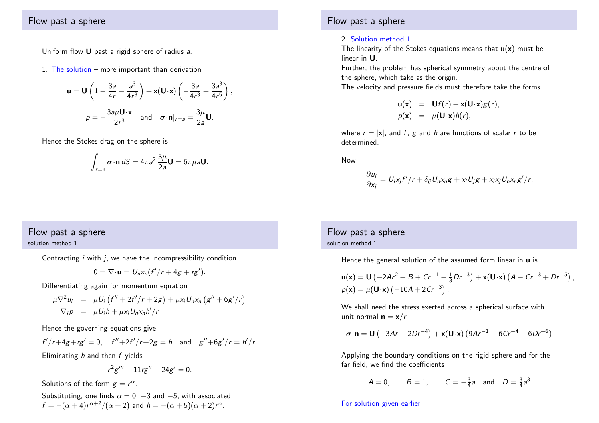## Flow past a sphere

Uniform flow U past a rigid sphere of radius a.

1. The solution – more important than derivation

$$
\mathbf{u} = \mathbf{U} \left( 1 - \frac{3a}{4r} - \frac{a^3}{4r^3} \right) + \mathbf{x} (\mathbf{U} \cdot \mathbf{x}) \left( -\frac{3a}{4r^3} + \frac{3a^3}{4r^5} \right),
$$

$$
p = -\frac{3a\mu \mathbf{U} \cdot \mathbf{x}}{2r^3} \quad \text{and} \quad \sigma \cdot \mathbf{n}|_{r=a} = \frac{3\mu}{2a} \mathbf{U}.
$$

Hence the Stokes drag on the sphere is

$$
\int_{r=a} \sigma \cdot \mathbf{n} \, dS = 4\pi a^2 \frac{3\mu}{2a} \mathbf{U} = 6\pi \mu a \mathbf{U}.
$$

# Flow past a sphere

solution method 1

Contracting  $i$  with  $j$ , we have the incompressibility condition

$$
0=\nabla\cdot\mathbf{u}=U_nx_n(f'/r+4g+rg').
$$

Differentiating again for momentum equation

$$
\mu \nabla^2 u_i = \mu U_i (f'' + 2f'/r + 2g) + \mu x_i U_n x_n (g'' + 6g'/r)
$$
  

$$
\nabla_i \rho = \mu U_i h + \mu x_i U_n x_n h'/r
$$

Hence the governing equations give

$$
f'/r+4g+rg' = 0
$$
,  $f''+2f'/r+2g = h$  and  $g''+6g'/r = h'/r$ .

Eliminating  $h$  and then  $f$  yields

$$
r^2g''' + 11rg'' + 24g' = 0.
$$

Solutions of the form  $g = r^{\alpha}$ .

<span id="page-3-0"></span>Substituting, one finds  $\alpha = 0, -3$  and  $-5$ , with associated  $f=-(\alpha+4)r^{\alpha+2}/(\alpha+2)$  and  $h=-(\alpha+5)(\alpha+2)r^{\alpha}$ .

### Flow past a sphere

### 2. Solution method 1

The linearity of the Stokes equations means that  $\mathbf{u}(\mathbf{x})$  must be linear in U.

Further, the problem has spherical symmetry about the centre of the sphere, which take as the origin.

The velocity and pressure fields must therefore take the forms

$$
\begin{array}{rcl}\n\mathbf{u}(\mathbf{x}) & = & \mathbf{U}f(r) + \mathbf{x}(\mathbf{U}\cdot\mathbf{x})g(r), \\
p(\mathbf{x}) & = & \mu(\mathbf{U}\cdot\mathbf{x})h(r),\n\end{array}
$$

where  $r = |\mathbf{x}|$ , and f, g and h are functions of scalar r to be determined.

Now

$$
\frac{\partial u_i}{\partial x_j} = U_i x_j f'/r + \delta_{ij} U_n x_n g + x_i U_j g + x_i x_j U_n x_n g'/r.
$$

Flow past a sphere solution method 1

Hence the general solution of the assumed form linear in  $\bf{u}$  is

$$
\mathbf{u}(\mathbf{x}) = \mathbf{U} \left( -2Ar^2 + B + Cr^{-1} - \frac{1}{3}Dr^{-3} \right) + \mathbf{x}(\mathbf{U} \cdot \mathbf{x}) \left( A + Cr^{-3} + Dr^{-5} \right),
$$
  
\n
$$
p(\mathbf{x}) = \mu(\mathbf{U} \cdot \mathbf{x}) \left( -10A + 2Cr^{-3} \right).
$$

We shall need the stress exerted across a spherical surface with unit normal  $\mathbf{n} = \mathbf{x}/r$ 

$$
\boldsymbol{\sigma} \cdot \mathbf{n} = \mathbf{U} \left( -3Ar + 2Dr^{-4} \right) + \mathbf{x} (\mathbf{U} \cdot \mathbf{x}) \left( 9Ar^{-1} - 6Cr^{-4} - 6Dr^{-6} \right)
$$

Applying the boundary conditions on the rigid sphere and for the far field, we find the coefficients

$$
A = 0
$$
,  $B = 1$ ,  $C = -\frac{3}{4}a$  and  $D = \frac{3}{4}a^3$ 

### For solution given earlier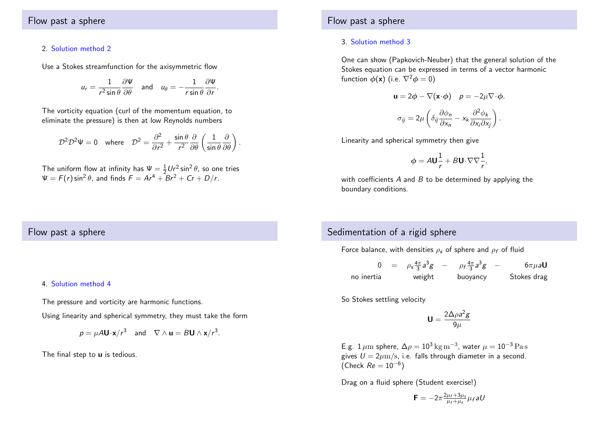### 2. Solution method 2

Use a Stokes streamfunction for the axisymmetric flow

$$
u_r = \frac{1}{r^2 \sin \theta} \frac{\partial \Psi}{\partial \theta} \quad \text{and} \quad u_\theta = -\frac{1}{r \sin \theta} \frac{\partial \Psi}{\partial r}.
$$

The vorticity equation (curl of the momentum equation, to eliminate the pressure) is then at low Reynolds numbers

$$
\mathcal{D}^2 \mathcal{D}^2 \Psi = 0 \quad \text{where} \quad \mathcal{D}^2 = \frac{\partial^2}{\partial r^2} + \frac{\sin \theta}{r^2} \frac{\partial}{\partial \theta} \left( \frac{1}{\sin \theta} \frac{\partial}{\partial \theta} \right)
$$

.

The uniform flow at infinity has  $\Psi = \frac{1}{2} U r^2 \sin^2 \theta$ , so one tries  $\Psi = F(r) \sin^2 \theta$ , and finds  $F = Ar^4 + Br^2 + Cr + D/r$ .

## Flow past a sphere

### 3. Solution method 3

One can show (Papkovich-Neuber) that the general solution of the Stokes equation can be expressed in terms of a vector harmonic function  $\phi(\mathbf{x})$  (i.e.  $\nabla^2 \phi = 0$ )

$$
\mathbf{u} = 2\phi - \nabla(\mathbf{x} \cdot \phi) \quad p = -2\mu \nabla \cdot \phi.
$$

$$
\sigma_{ij} = 2\mu \left( \delta_{ij} \frac{\partial \phi_n}{\partial x_n} - x_k \frac{\partial^2 \phi_k}{\partial x_i \partial x_j} \right).
$$

Linearity and spherical symmetry then give

$$
\phi = A \mathbf{U} \frac{1}{r} + B \mathbf{U} \cdot \nabla \nabla \frac{1}{r},
$$

with coefficients  $A$  and  $B$  to be determined by applying the boundary conditions.

### Flow past a sphere

#### 4. Solution method 4

The pressure and vorticity are harmonic functions.

Using linearity and spherical symmetry, they must take the form

$$
p = \mu A \mathbf{U} \cdot \mathbf{x} / r^3
$$
 and  $\nabla \wedge \mathbf{u} = B \mathbf{U} \wedge \mathbf{x} / r^3$ .

<span id="page-4-0"></span>The final step to **u** is tedious.

# Sedimentation of a rigid sphere

Force balance, with densities  $\rho_s$  of sphere and  $\rho_f$  of fluid

|            | $= \rho_s \frac{4\pi}{3} a^3 g$ | $\rho_f \frac{4\pi}{3} a^3 g$ | $\overline{\phantom{m}}$ | $6\pi\mu$ aU |
|------------|---------------------------------|-------------------------------|--------------------------|--------------|
| no inertia | weight                          | buoyancy                      |                          | Stokes drag  |

So Stokes settling velocity

$$
\textbf{U}=\frac{2\Delta\rho a^2g}{9\mu}
$$

E.g.  $1\,\mu\mathrm{m}$  sphere,  $\Delta\rho=10^3\,\mathrm{kg\,m^{-3}}$ , water  $\mu=10^{-3}\,\mathrm{Pa\,s}$ gives  $U = 2 \mu m/s$ , i.e. falls through diameter in a second. (Check  $Re = 10^{-6}$ )

Drag on a fluid sphere (Student exercise!)

$$
\mathbf{F}=-2\pi \frac{2\mu_f+3\mu_s}{\mu_f+\mu_s}\mu_f aU
$$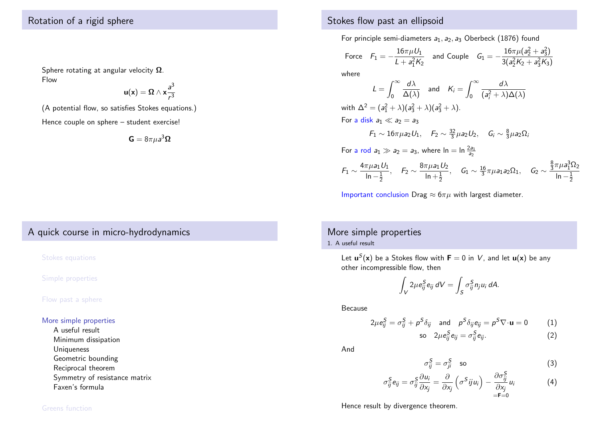# Rotation of a rigid sphere

Sphere rotating at angular velocity  $\Omega$ . Flow

$$
u(x)=\Omega\wedge x\frac{a^3}{r^3}
$$

(A potential flow, so satisfies Stokes equations.)

Hence couple on sphere – student exercise!

$$
\mathbf{G}=8\pi\mu a^3\mathbf{\Omega}
$$

# A quick course in micro-hydrodynamics

#### Stokes equations

Simple properties

### Flow past a sphere

#### More simple properties

[A useful resu](#page-5-0)lt [Minimum](#page-5-0) dissipation [Uniqueness](#page-6-0) [Geom](#page-6-0)etric bounding [Reciprocal the](#page-6-0)orem [Symmetry of](#page-7-0) resistance matrix [Faxen's formula](#page-7-0)

# Stokes flow past an ellipsoid

For principle semi-diameters  $a_1, a_2, a_3$  Oberbeck (1876) found

Force 
$$
F_1 = -\frac{16\pi\mu U_1}{L + a_1^2 K_2}
$$
 and Couple  $G_1 = -\frac{16\pi\mu (a_2^2 + a_3^2)}{3(a_2^2 K_2 + a_3^2 K_3)}$ 

where

$$
L = \int_0^\infty \frac{d\lambda}{\Delta(\lambda)} \quad \text{and} \quad K_i = \int_0^\infty \frac{d\lambda}{(a_i^2 + \lambda)\Delta(\lambda)}
$$
  
with  $\Delta^2 = (a_1^2 + \lambda)(a_3^2 + \lambda)(a_3^2 + \lambda)$ .  
For a disk  $a_1 \ll a_2 = a_3$   
 $F_1 \sim 16\pi \mu a_2 U_1$ ,  $F_2 \sim \frac{32}{3} \mu a_2 U_2$ ,  $G_i \sim \frac{8}{3} \mu a_2 \Omega_i$   
For a rod  $a_1 \gg a_2 = a_3$ , where  $\ln = \ln \frac{2a_1}{a_2}$ 

$$
\mathit{F}_1\sim\frac{4\pi\mu a_1U_1}{\ln-\frac{1}{2}},\quad \mathit{F}_2\sim\frac{8\pi\mu a_1U_2}{\ln+\frac{1}{2}},\quad \mathit{G}_1\sim\frac{16}{3}\pi\mu a_1a_2\Omega_1,\quad \mathit{G}_2\sim\frac{\frac{8}{3}\pi\mu a_1^3\Omega_2}{\ln-\frac{1}{2}}
$$

Important conclusion Drag  $\approx 6\pi\mu$  with largest diameter.

## More simple properties

1. A useful result

Let  $\mathbf{u}^{\mathcal{S}}(\mathbf{x})$  be a Stokes flow with  $\mathbf{F}=0$  in  $V$ , and let  $\mathbf{u}(\mathbf{x})$  be any other incompressible flow, then

$$
\int_V 2\mu e_{ij}^S e_{ij} dV = \int_S \sigma_{ij}^S n_j u_i dA.
$$

Because

$$
2\mu e_{ij}^{S} = \sigma_{ij}^{S} + \rho^{S} \delta_{ij} \quad \text{and} \quad \rho^{S} \delta_{ij} e_{ij} = \rho^{S} \nabla \cdot \mathbf{u} = 0 \tag{1}
$$

$$
\text{so} \quad 2\mu \epsilon_{ij}^S \epsilon_{ij} = \sigma_{ij}^S \epsilon_{ij}. \tag{2}
$$

And

$$
\sigma_{ij}^S = \sigma_{ji}^S \quad \text{so} \tag{3}
$$

$$
\sigma_{ij}^{S} e_{ij} = \sigma_{ij}^{S} \frac{\partial u_{i}}{\partial x_{j}} = \frac{\partial}{\partial x_{j}} \left( \sigma^{S} j j u_{i} \right) - \frac{\partial \sigma_{ij}^{S}}{\partial x_{j}} u_{i}
$$
(4)

Hence result by divergence theorem.

#### <span id="page-5-0"></span>Greens function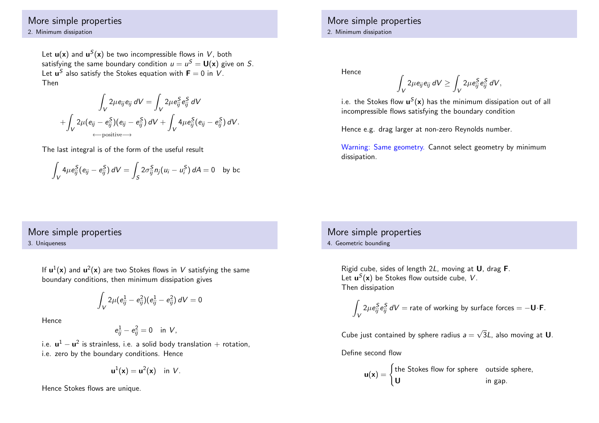## More simple properties

2. Minimum dissipation

Let  $\mathbf{u}(\mathbf{x})$  and  $\mathbf{u}^{S}(\mathbf{x})$  be two incompressible flows in  $V$ , both satisfying the same boundary condition  $\mathbf{\mathit{u}}=\mathbf{\mathit{u}}^{\mathcal{S}}=\mathbf{\mathsf{U}}(\mathsf{x})$  give on  $\mathcal{S}.$ Let  $\boldsymbol{\mathsf{u}}^{\mathcal{S}}$  also satisfy the Stokes equation with  $\boldsymbol{\mathsf{F}}=0$  in  $V.$ Then

$$
\int_{V} 2\mu e_{ij} e_{ij} dV = \int_{V} 2\mu e_{ij}^{S} e_{ij}^{S} dV
$$

$$
+ \int_{V} 2\mu (e_{ij} - e_{ij}^{S})(e_{ij} - e_{ij}^{S}) dV + \int_{V} 4\mu e_{ij}^{S}(e_{ij} - e_{ij}^{S}) dV.
$$

The last integral is of the form of the useful result

$$
\int_V 4\mu e_{ij}^S(e_{ij} - e_{ij}^S) dV = \int_S 2\sigma_{ij}^S n_j(u_i - u_i^S) dA = 0 \text{ by bc}
$$

## More simple properties 2. Minimum dissipation

Hence

$$
\int_V 2\mu e_{ij} e_{ij} dV \ge \int_V 2\mu e_{ij}^S e_{ij}^S dV,
$$

i.e. the Stokes flow  $\mathbf{u}^{\mathcal{S}}(\mathsf{x})$  has the minimum dissipation out of all incompressible flows satisfying the boundary condition

Hence e.g. drag larger at non-zero Reynolds number.

Warning: Same geometry. Cannot select geometry by minimum dissipation.

# More simple properties

3. Uniqueness

If  $\mathbf{u}^1(\mathsf{x})$  and  $\mathbf{u}^2(\mathsf{x})$  are two Stokes flows in  $V$  satisfying the same boundary conditions, then minimum dissipation gives

$$
\int_V 2\mu(e_{ij}^1-e_{ij}^2)(e_{ij}^1-e_{ij}^2)\,dV=0
$$

Hence

$$
e_{ij}^1 - e_{ij}^2 = 0 \quad \text{in } V,
$$

i.e.  $\mathbf{u}^{1}-\mathbf{u}^{2}$  is strainless, i.e. a solid body translation  $+$  rotation, i.e. zero by the boundary conditions. Hence

$$
\mathbf{u}^1(\mathbf{x}) = \mathbf{u}^2(\mathbf{x}) \quad \text{in } V.
$$

<span id="page-6-0"></span>Hence Stokes flows are unique.

# More simple properties

4. Geometric bounding

Rigid cube, sides of length 2L, moving at U, drag F. Let  $\mathbf{u}^{S}(\mathbf{x})$  be Stokes flow outside cube, V. Then dissipation

$$
\int_V 2\mu e_{ij}^S e_{ij}^S dV = \text{rate of working by surface forces} = -\mathbf{U} \cdot \mathbf{F}.
$$

Cube just contained by sphere radius  $a =$ √  $3L$ , also moving at  $\bm{\mathsf{U}}$ .

Define second flow

$$
\mathbf{u}(\mathbf{x}) = \begin{cases} \text{the Stokes flow for sphere} & \text{outside sphere,} \\ \mathbf{U} & \text{in gap.} \end{cases}
$$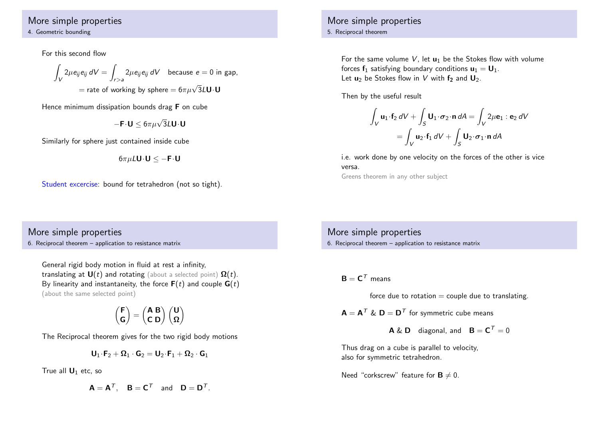## More simple properties

#### 4. Geometric bounding

For this second flow

$$
\int_{V} 2\mu e_{ij} e_{ij} dV = \int_{r>a} 2\mu e_{ij} e_{ij} dV \text{ because } e = 0 \text{ in gap,}
$$

$$
= \text{rate of working by sphere} = 6\pi \mu \sqrt{3} L U \cdot U
$$

Hence minimum dissipation bounds drag **F** on cube

$$
-\mathbf{F}\!\cdot\!\mathbf{U}\leq6\pi\mu\sqrt{3}L\mathbf{U}\!\cdot\!\mathbf{U}
$$

Similarly for sphere just contained inside cube

$$
6\pi\mu L\mathbf{U}\!\cdot\!\mathbf{U}\leq-\mathbf{F}\!\cdot\!\mathbf{U}
$$

Student excercise: bound for tetrahedron (not so tight).

# More simple properties

#### 5. Reciprocal theorem

For the same volume  $V$ , let  $u_1$  be the Stokes flow with volume forces  $f_1$  satisfying boundary conditions  $u_1 = U_1$ . Let  $\mathbf{u}_2$  be Stokes flow in V with f<sub>2</sub> and  $\mathbf{U}_2$ .

Then by the useful result

$$
\int_{V} \mathbf{u}_{1} \cdot \mathbf{f}_{2} dV + \int_{S} \mathbf{U}_{1} \cdot \boldsymbol{\sigma}_{2} \cdot \mathbf{n} dA = \int_{V} 2\mu \mathbf{e}_{1} : \mathbf{e}_{2} dV
$$

$$
= \int_{V} \mathbf{u}_{2} \cdot \mathbf{f}_{1} dV + \int_{S} \mathbf{U}_{2} \cdot \boldsymbol{\sigma}_{1} \cdot \mathbf{n} dA
$$

i.e. work done by one velocity on the forces of the other is vice versa.

Greens theorem in any other subject

# More simple properties

6. Reciprocal theorem – application to resistance matrix

General rigid body motion in fluid at rest a infinity, translating at  $U(t)$  and rotating (about a selected point)  $\Omega(t)$ . By linearity and instantaneity, the force  $F(t)$  and couple  $G(t)$ (about the same selected point)

$$
\begin{pmatrix} F \\ G \end{pmatrix} = \begin{pmatrix} A \ B \\ C \ D \end{pmatrix} \begin{pmatrix} U \\ \Omega \end{pmatrix}
$$

The Reciprocal theorem gives for the two rigid body motions

$$
\textbf{U}_1\!\cdot\!\textbf{F}_2+\boldsymbol{\Omega}_1\cdot\textbf{G}_2=\textbf{U}_2\!\cdot\!\textbf{F}_1+\boldsymbol{\Omega}_2\cdot\textbf{G}_1
$$

<span id="page-7-0"></span>True all  $\mathbf{U}_1$  etc, so

$$
A = A^T, \quad B = C^T \quad \text{and} \quad D = D^T.
$$

More simple properties 6. Reciprocal theorem – application to resistance matrix

 $\mathsf{B} = \mathsf{C}^\mathcal{T}$  means

force due to rotation  $=$  couple due to translating.

 $A = A^T \& D = D^T$  for symmetric cube means

 $\mathsf{A}\ \&\ \mathsf{D}\quad$  diagonal, and  $\mathsf{B}=\mathsf{C}^{\,\mathsf{T}}=0$ 

Thus drag on a cube is parallel to velocity, also for symmetric tetrahedron.

Need "corkscrew" feature for  $B \neq 0$ .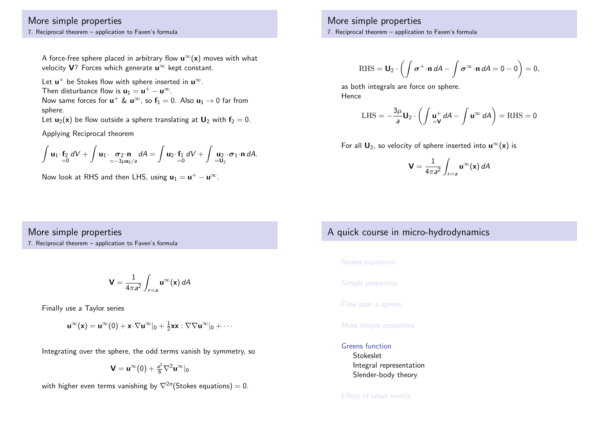## More simple properties

7. Reciprocal theorem – application to Faxen's formula

A force-free sphere placed in arbitrary flow  $\mathbf{u}^{\infty}(\mathbf{x})$  moves with what velocity V? Forces which generate  $\mathbf{u}^{\infty}$  kept constant.

Let  $\mathsf{u}^+$  be Stokes flow with sphere inserted in  $\mathsf{u}^\infty.$ Then disturbance flow is  $\mathbf{u}_1 = \mathbf{u}^+ - \mathbf{u}^{\infty}$ . Now same forces for  $\mathbf{u}^+ \ \& \ \mathbf{u}^{\infty}$ , so  $\mathbf{f}_1 = 0$ . Also  $\mathbf{u}_1 \to 0$  far from sphere.

Let  $u_2(x)$  be flow outside a sphere translating at  $U_2$  with  $f_2 = 0$ .

Applying Reciprocal theorem

$$
\int \mathbf{u}_1 \cdot \mathbf{f}_2 \ dV + \int \mathbf{u}_1 \cdot \frac{\sigma_2 \cdot \mathbf{n}}{=\frac{-3\mu \mathbf{u}_2}{a}} dA = \int \mathbf{u}_2 \cdot \mathbf{f}_1 \ dV + \int \mathbf{u}_2 \cdot \sigma_1 \cdot \mathbf{n} \ dA.
$$

Now look at RHS and then LHS, using  $\mathbf{u}_1 = \mathbf{u}^+ - \mathbf{u}^\infty$ .

### More simple properties

7. Reciprocal theorem – application to Faxen's formula

$$
\mathrm{RHS} = \boldsymbol{U}_2 \cdot \left( \int \boldsymbol{\sigma}^+ \cdot \boldsymbol{n} \, dA - \int \boldsymbol{\sigma}^\infty \cdot \boldsymbol{n} \, dA = 0 - 0 \right) = 0,
$$

as both integrals are force on sphere. Hence

LHS = 
$$
-\frac{3\mu}{a}\mathbf{U}_2 \cdot \left( \int \frac{\mathbf{u}^+}{=\mathbf{V}} dA - \int \mathbf{u}^\infty dA \right) = \text{RHS} = 0
$$

For all  $\mathbf{U}_2$ , so velocity of sphere inserted into  $\mathbf{u}^{\infty}(\mathbf{x})$  is

$$
\mathbf{V} = \frac{1}{4\pi a^2} \int_{r=a} \mathbf{u}^{\infty}(\mathbf{x}) dA
$$

### More simple properties

7. Reciprocal theorem – application to Faxen's formula

$$
\mathbf{V} = \frac{1}{4\pi a^2} \int_{r=a} \mathbf{u}^{\infty}(\mathbf{x}) dA
$$

[Finally use a](#page-2-0) Taylor series

$$
\mathbf{u}^{\infty}(\mathbf{x}) = \mathbf{u}^{\infty}(0) + \mathbf{x} \cdot \nabla \mathbf{u}^{\infty} \vert_0 + \frac{1}{2} \mathbf{x} \mathbf{x} : \nabla \nabla \mathbf{u}^{\infty} \vert_0 + \cdots
$$

[Integratin](#page-8-0)g over the sphere, the odd terms vanish by symmetry, so

$$
\bm{V}=\bm{u}^{\infty}(0)+\tfrac{a^2}{6}\nabla^2\bm{u}^{\infty}|_0
$$

<span id="page-8-0"></span>[with higher even t](#page-10-0)erms vanishing by  $\nabla^{2n}(\mathsf{Stokes}\;$ equations)  $=0.$ 

# A quick course in micro-hydrodynamics

Stokes equations

Simple properties

Flow past a sphere

#### More simple properties

### Greens function

Stokeslet Integral representation Slender-body theory

### Effect of small inertia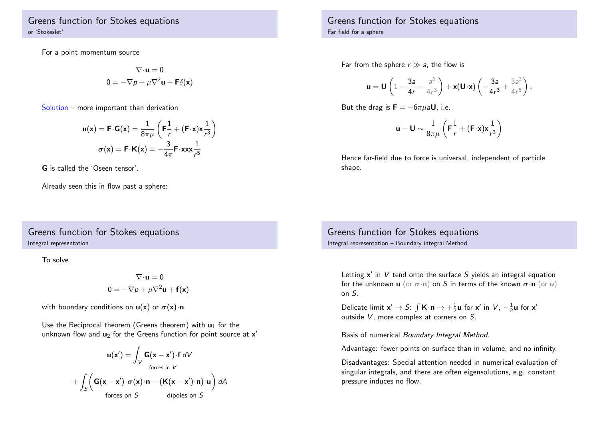Greens function for Stokes equations or 'Stokeslet'

For a point momentum source

$$
\nabla \cdot \mathbf{u} = 0
$$

$$
0 = -\nabla p + \mu \nabla^2 \mathbf{u} + \mathbf{F} \delta(\mathbf{x})
$$

Solution – more important than derivation

$$
\mathbf{u}(\mathbf{x}) = \mathbf{F} \cdot \mathbf{G}(\mathbf{x}) = \frac{1}{8\pi\mu} \left( \mathbf{F} \frac{1}{r} + (\mathbf{F} \cdot \mathbf{x}) \mathbf{x} \frac{1}{r^3} \right)
$$

$$
\sigma(\mathbf{x}) = \mathbf{F} \cdot \mathbf{K}(\mathbf{x}) = -\frac{3}{4\pi} \mathbf{F} \cdot \mathbf{x} \mathbf{x} \mathbf{x} \frac{1}{r^5}
$$

G is called the 'Oseen tensor'.

Already seen this in flow past a sphere:

## Greens function for Stokes equations Integral representation

To solve

$$
\nabla \cdot \mathbf{u} = 0
$$

$$
0 = -\nabla p + \mu \nabla^2 \mathbf{u} + \mathbf{f}(\mathbf{x})
$$

with boundary conditions on  $u(x)$  or  $\sigma(x) \cdot n$ .

Use the Reciprocal theorem (Greens theorem) with  $\mathbf{u}_1$  for the unknown flow and  $\mathbf{u}_2$  for the Greens function for point source at  $\mathbf{x}'$ 

$$
\mathbf{u}(\mathbf{x}') = \int_{V} \mathbf{G}(\mathbf{x} - \mathbf{x}') \cdot \mathbf{f} \, dV
$$
  
forces in  $V$   
+  $\int_{S} \left( \mathbf{G}(\mathbf{x} - \mathbf{x}') \cdot \boldsymbol{\sigma}(\mathbf{x}) \cdot \mathbf{n} - (\mathbf{K}(\mathbf{x} - \mathbf{x}') \cdot \mathbf{n}) \cdot \mathbf{u} \right) dA$   
forces on  $S$  dipoles on  $S$ 

Greens function for Stokes equations Far field for a sphere

Far from the sphere  $r \gg a$ , the flow is

$$
\mathbf{u} = \mathbf{U}\left(1 - \frac{3a}{4r} - \frac{a^3}{4r^3}\right) + \mathbf{x}(\mathbf{U}\cdot\mathbf{x})\left(-\frac{3a}{4r^3} + \frac{3a^3}{4r^5}\right),\,
$$

But the drag is  $\mathbf{F} = -6\pi u \mathbf{a} \mathbf{U}$ , i.e.

$$
\mathbf{u} - \mathbf{U} \sim \frac{1}{8\pi\mu} \left( \mathbf{F} \frac{1}{r} + (\mathbf{F} \cdot \mathbf{x}) \mathbf{x} \frac{1}{r^3} \right)
$$

Hence far-field due to force is universal, independent of particle shape.

Greens function for Stokes equations Integral representation – Boundary integral Method

Letting  $x'$  in  $V$  tend onto the surface  $S$  yields an integral equation for the unknown **u** (or  $\sigma \cdot n$ ) on S in terms of the known  $\sigma \cdot n$  (or **u**) on S.

Delicate limit  $\mathsf{x}'\to \mathsf{S}\colon \int \mathsf{K}\!\cdot\! \mathsf{n} \to +\frac{1}{2}\mathsf{u}$  for  $\mathsf{x}'$  in  $\mathsf{V},\, -\frac{1}{2}\mathsf{u}$  for  $\mathsf{x}'$ outside V, more complex at corners on S.

Basis of numerical Boundary Integral Method.

Advantage: fewer points on surface than in volume, and no infinity.

Disadvantages: Special attention needed in numerical evaluation of singular integrals, and there are often eigensolutions, e.g. constant pressure induces no flow.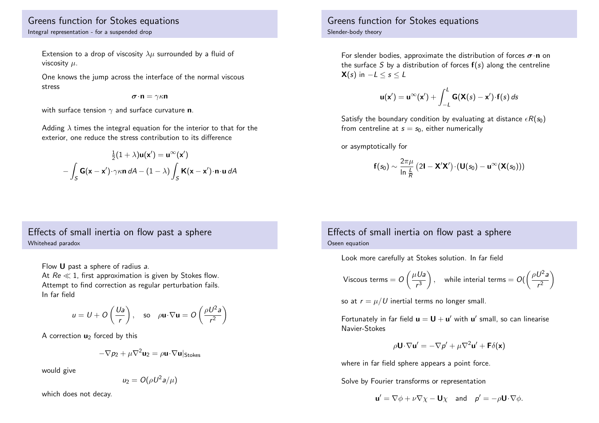## Greens function for Stokes equations Integral representation - for a suspended drop

Extension to a drop of viscosity  $\lambda \mu$  surrounded by a fluid of viscosity  $\mu$ .

One knows the jump across the interface of the normal viscous stress

$$
\boldsymbol{\sigma}\!\cdot\!\mathbf{n}=\gamma\kappa\mathbf{n}
$$

with surface tension  $\gamma$  and surface curvature **n**.

Adding  $\lambda$  times the integral equation for the interior to that for the exterior, one reduce the stress contribution to its difference

$$
\frac{1}{2}(1+\lambda)\mathbf{u}(\mathbf{x}') = \mathbf{u}^{\infty}(\mathbf{x}')
$$

$$
-\int_{S} \mathbf{G}(\mathbf{x}-\mathbf{x}') \cdot \gamma \kappa \mathbf{n} dA - (1-\lambda) \int_{S} \mathbf{K}(\mathbf{x}-\mathbf{x}') \cdot \mathbf{n} \cdot \mathbf{u} dA
$$

# Effects of small inertia on flow past a sphere Whitehead paradox

Flow U past a sphere of radius a. At  $Re \ll 1$ , first approximation is given by Stokes flow. Attempt to find correction as regular perturbation fails. In far field

$$
u = U + O\left(\frac{Ua}{r}\right)
$$
, so  $\rho \mathbf{u} \cdot \nabla \mathbf{u} = O\left(\frac{\rho U^2 a}{r^2}\right)$ 

A correction  $\mathbf{u}_2$  forced by this

$$
-\nabla p_2 + \mu \nabla^2 \mathbf{u}_2 = \rho \mathbf{u} \cdot \nabla \mathbf{u} |_{\text{Stokes}}
$$

would give

$$
u_2=O(\rho U^2 a/\mu)
$$

<span id="page-10-0"></span>which does not decay.

## Greens function for Stokes equations Slender-body theory

For slender bodies, approximate the distribution of forces  $\sigma \cdot n$  on the surface S by a distribution of forces  $f(s)$  along the centreline  $\mathbf{X}(s)$  in  $-L \leq s \leq L$ 

$$
\mathbf{u}(\mathbf{x}') = \mathbf{u}^{\infty}(\mathbf{x}') + \int_{-L}^{L} \mathbf{G}(\mathbf{X}(s) - \mathbf{x}') \cdot \mathbf{f}(s) \, ds
$$

Satisfy the boundary condition by evaluating at distance  $\epsilon R(s_0)$ from centreline at  $s = s_0$ , either numerically

or asymptotically for

$$
\boldsymbol{f}(s_0) \sim \frac{2\pi\mu}{\ln \frac{L}{\mathcal{R}}} \left( 2\boldsymbol{I} - \boldsymbol{X}'\boldsymbol{X}' \right) \cdot \left( \boldsymbol{U}(s_0) - \boldsymbol{u}^{\infty}(\boldsymbol{X}(s_0)) \right)
$$

# Effects of small inertia on flow past a sphere Oseen equation

Look more carefully at Stokes solution. In far field

Viscous terms = 
$$
O\left(\frac{\mu U a}{r^3}\right)
$$
, while internal terms =  $O\left(\frac{\rho U^2 a}{r^2}\right)$ 

so at  $r = u/U$  inertial terms no longer small.

Fortunately in far field  $\mathbf{u} = \mathbf{U} + \mathbf{u}'$  with  $\mathbf{u}'$  small, so can linearise Navier-Stokes

$$
\rho \mathbf{U} \cdot \nabla \mathbf{u}' = -\nabla p' + \mu \nabla^2 \mathbf{u}' + \mathbf{F} \delta(\mathbf{x})
$$

where in far field sphere appears a point force.

Solve by Fourier transforms or representation

$$
\mathbf{u}' = \nabla \phi + \nu \nabla \chi - \mathbf{U} \chi \quad \text{and} \quad p' = -\rho \mathbf{U} \cdot \nabla \phi.
$$